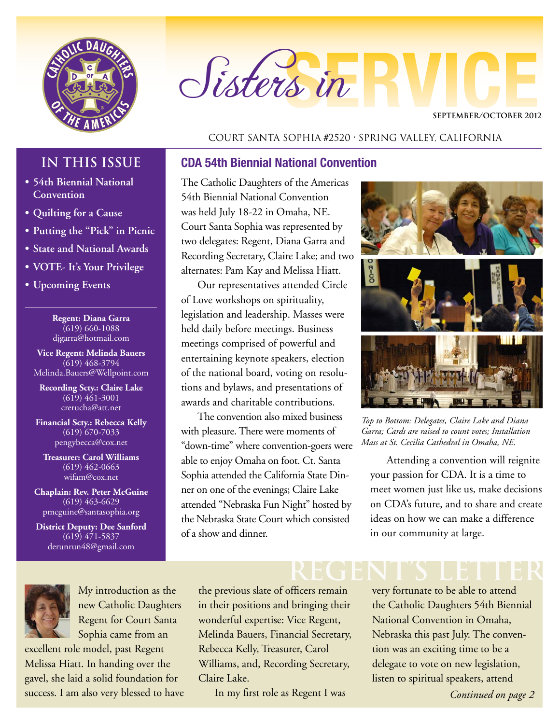

# Sisters in

#### **SEPTEMBER/OCTOBER 2012**

#### Court Santa Sophia #2520 • Spring Valley, California

### **IN THIS ISSUE**

- **• 54th Biennial National Convention**
- **• Quilting for a Cause**
- **• Putting the "Pick" in Picnic**
- **• State and National Awards**
- **• VOTE- It's Your Privilege**
- **• Upcoming Events**

**Regent: Diana Garra** (619) 660-1088 djgarra@hotmail.com

**Vice Regent: Melinda Bauers** (619) 468-3794 Melinda.Bauers@Wellpoint.com

**Recording Scty.: Claire Lake** (619) 461-3001 crerucha@att.net

**Financial Scty.: Rebecca Kelly** (619) 670-7033 pengybecca@cox.net

**Treasurer: Carol Williams** (619) 462-0663 wifam@cox.net

**Chaplain: Rev. Peter McGuine** (619) 463-6629 pmcguine@santasophia.org

**District Deputy: Dee Sanford** (619) 471-5837 derunrun48@gmail.com



My introduction as the new Catholic Daughters Regent for Court Santa Sophia came from an

excellent role model, past Regent Melissa Hiatt. In handing over the gavel, she laid a solid foundation for success. I am also very blessed to have

#### **CDA 54th Biennial National Convention**

The Catholic Daughters of the Americas 54th Biennial National Convention was held July 18-22 in Omaha, NE. Court Santa Sophia was represented by two delegates: Regent, Diana Garra and Recording Secretary, Claire Lake; and two alternates: Pam Kay and Melissa Hiatt.

Our representatives attended Circle of Love workshops on spirituality, legislation and leadership. Masses were held daily before meetings. Business meetings comprised of powerful and entertaining keynote speakers, election of the national board, voting on resolutions and bylaws, and presentations of awards and charitable contributions.

The convention also mixed business with pleasure. There were moments of "down-time" where convention-goers were able to enjoy Omaha on foot. Ct. Santa Sophia attended the California State Dinner on one of the evenings; Claire Lake attended "Nebraska Fun Night" hosted by the Nebraska State Court which consisted of a show and dinner.



*Top to Bottom: Delegates, Claire Lake and Diana Garra; Cards are raised to count votes; Installation Mass at St. Cecilia Cathedral in Omaha, NE.*

Attending a convention will reignite your passion for CDA. It is a time to meet women just like us, make decisions on CDA's future, and to share and create ideas on how we can make a difference in our community at large.

the previous slate of officers remain in their positions and bringing their wonderful expertise: Vice Regent, Melinda Bauers, Financial Secretary, Rebecca Kelly, Treasurer, Carol Williams, and, Recording Secretary, Claire Lake.

In my first role as Regent I was

# **REGENT's LETTER**

very fortunate to be able to attend the Catholic Daughters 54th Biennial National Convention in Omaha, Nebraska this past July. The convention was an exciting time to be a delegate to vote on new legislation, listen to spiritual speakers, attend

*Continued on page 2*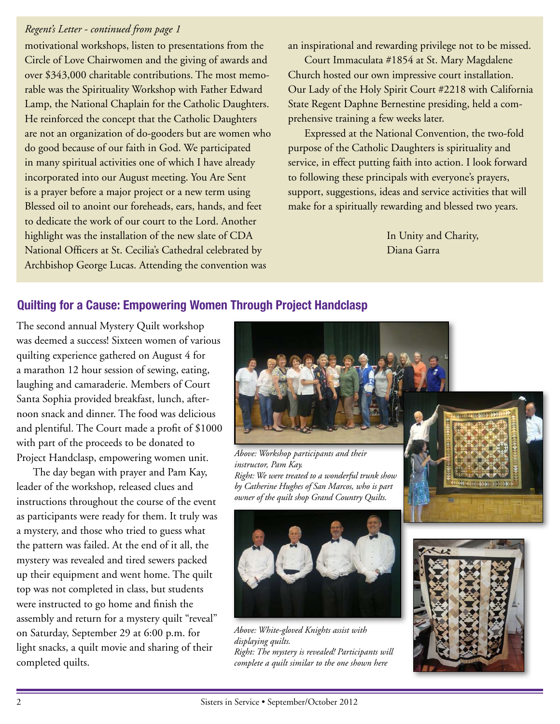#### *Regent's Letter - continued from page 1*

motivational workshops, listen to presentations from the Circle of Love Chairwomen and the giving of awards and over \$343,000 charitable contributions. The most memorable was the Spirituality Workshop with Father Edward Lamp, the National Chaplain for the Catholic Daughters. He reinforced the concept that the Catholic Daughters are not an organization of do-gooders but are women who do good because of our faith in God. We participated in many spiritual activities one of which I have already incorporated into our August meeting. You Are Sent is a prayer before a major project or a new term using Blessed oil to anoint our foreheads, ears, hands, and feet to dedicate the work of our court to the Lord. Another highlight was the installation of the new slate of CDA National Officers at St. Cecilia's Cathedral celebrated by Archbishop George Lucas. Attending the convention was

an inspirational and rewarding privilege not to be missed.

Court Immaculata #1854 at St. Mary Magdalene Church hosted our own impressive court installation. Our Lady of the Holy Spirit Court #2218 with California State Regent Daphne Bernestine presiding, held a comprehensive training a few weeks later.

Expressed at the National Convention, the two-fold purpose of the Catholic Daughters is spirituality and service, in effect putting faith into action. I look forward to following these principals with everyone's prayers, support, suggestions, ideas and service activities that will make for a spiritually rewarding and blessed two years.

> In Unity and Charity, Diana Garra

#### **Quilting for a Cause: Empowering Women Through Project Handclasp**

The second annual Mystery Quilt workshop was deemed a success! Sixteen women of various quilting experience gathered on August 4 for a marathon 12 hour session of sewing, eating, laughing and camaraderie. Members of Court Santa Sophia provided breakfast, lunch, afternoon snack and dinner. The food was delicious and plentiful. The Court made a profit of \$1000 with part of the proceeds to be donated to Project Handclasp, empowering women unit.

The day began with prayer and Pam Kay, leader of the workshop, released clues and instructions throughout the course of the event as participants were ready for them. It truly was a mystery, and those who tried to guess what the pattern was failed. At the end of it all, the mystery was revealed and tired sewers packed up their equipment and went home. The quilt top was not completed in class, but students were instructed to go home and finish the assembly and return for a mystery quilt "reveal" on Saturday, September 29 at 6:00 p.m. for light snacks, a quilt movie and sharing of their completed quilts.



*Above: Workshop participants and their instructor, Pam Kay. Right: We were treated to a wonderful trunk show by Catherine Hughes of San Marcos, who is part owner of the quilt shop Grand Country Quilts.* 





*Above: White-gloved Knights assist with displaying quilts. Right: The mystery is revealed! Participants will complete a quilt similar to the one shown here*

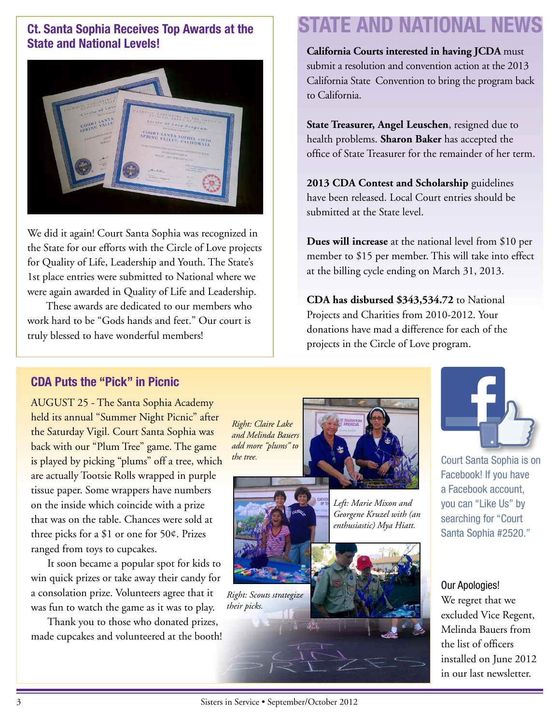#### **Ct. Santa Sophia Receives Top Awards at the State and National Levels!**



We did it again! Court Santa Sophia was recognized in the State for our efforts with the Circle of Love projects for Quality of Life, Leadership and Youth. The State's 1st place entries were submitted to National where we were again awarded in Quality of Life and Leadership.

 These awards are dedicated to our members who work hard to be "Gods hands and feet." Our court is truly blessed to have wonderful members!

## **STATE AND NATIONAL NEWS**

**California Courts interested in having JCDA** must submit a resolution and convention action at the 2013 California State Convention to bring the program back to California.

**State Treasurer, Angel Leuschen**, resigned due to health problems. **Sharon Baker** has accepted the office of State Treasurer for the remainder of her term.

**2013 CDA Contest and Scholarship** guidelines have been released. Local Court entries should be submitted at the State level.

**Dues will increase** at the national level from \$10 per member to \$15 per member. This will take into effect at the billing cycle ending on March 31, 2013.

**CDA has disbursed \$343,534.72** to National Projects and Charities from 2010-2012. Your donations have mad a difference for each of the projects in the Circle of Love program.

#### **CDA Puts the "Pick" in Picnic**

AUGUST 25 - The Santa Sophia Academy held its annual "Summer Night Picnic" after the Saturday Vigil. Court Santa Sophia was back with our "Plum Tree" game. The game is played by picking "plums" off a tree, which are actually Tootsie Rolls wrapped in purple tissue paper. Some wrappers have numbers on the inside which coincide with a prize that was on the table. Chances were sold at three picks for a \$1 or one for 50¢. Prizes ranged from toys to cupcakes.

It soon became a popular spot for kids to win quick prizes or take away their candy for a consolation prize. Volunteers agree that it was fun to watch the game as it was to play.

Thank you to those who donated prizes, made cupcakes and volunteered at the booth! *Right: Claire Lake and Melinda Bauers add more "plums" to the tree.* 





Court Santa Sophia is on Facebook! If you have a Facebook account, you can ["Like Us"](http://www.facebook.com/pages/Catholic-Daughters-of-the-Americas-Court-Santa-Sophia-2520/168138419920651?fref=ts) by searching for "Court Santa Sophia #2520."

Our Apologies! We regret that we excluded Vice Regent, Melinda Bauers from the list of officers installed on June 2012 in our last newsletter.

Sisters in Service • September/October 2012